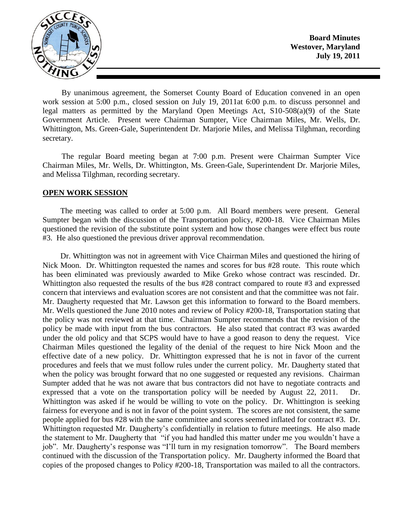

**Board Minutes Westover, Maryland July 19, 2011**

By unanimous agreement, the Somerset County Board of Education convened in an open work session at 5:00 p.m., closed session on July 19, 2011at 6:00 p.m. to discuss personnel and legal matters as permitted by the Maryland Open Meetings Act, S10-508(a)(9) of the State Government Article. Present were Chairman Sumpter, Vice Chairman Miles, Mr. Wells, Dr. Whittington, Ms. Green-Gale, Superintendent Dr. Marjorie Miles, and Melissa Tilghman, recording secretary.

The regular Board meeting began at 7:00 p.m. Present were Chairman Sumpter Vice Chairman Miles, Mr. Wells, Dr. Whittington, Ms. Green-Gale, Superintendent Dr. Marjorie Miles, and Melissa Tilghman, recording secretary.

#### **OPEN WORK SESSION**

The meeting was called to order at 5:00 p.m. All Board members were present. General Sumpter began with the discussion of the Transportation policy, #200-18. Vice Chairman Miles questioned the revision of the substitute point system and how those changes were effect bus route #3. He also questioned the previous driver approval recommendation.

Dr. Whittington was not in agreement with Vice Chairman Miles and questioned the hiring of Nick Moon. Dr. Whittington requested the names and scores for bus #28 route. This route which has been eliminated was previously awarded to Mike Greko whose contract was rescinded. Dr. Whittington also requested the results of the bus #28 contract compared to route #3 and expressed concern that interviews and evaluation scores are not consistent and that the committee was not fair. Mr. Daugherty requested that Mr. Lawson get this information to forward to the Board members. Mr. Wells questioned the June 2010 notes and review of Policy #200-18, Transportation stating that the policy was not reviewed at that time. Chairman Sumpter recommends that the revision of the policy be made with input from the bus contractors. He also stated that contract #3 was awarded under the old policy and that SCPS would have to have a good reason to deny the request. Vice Chairman Miles questioned the legality of the denial of the request to hire Nick Moon and the effective date of a new policy. Dr. Whittington expressed that he is not in favor of the current procedures and feels that we must follow rules under the current policy. Mr. Daugherty stated that when the policy was brought forward that no one suggested or requested any revisions. Chairman Sumpter added that he was not aware that bus contractors did not have to negotiate contracts and expressed that a vote on the transportation policy will be needed by August 22, 2011. Dr. Whittington was asked if he would be willing to vote on the policy. Dr. Whittington is seeking fairness for everyone and is not in favor of the point system. The scores are not consistent, the same people applied for bus #28 with the same committee and scores seemed inflated for contract #3. Dr. Whittington requested Mr. Daugherty's confidentially in relation to future meetings. He also made the statement to Mr. Daugherty that "if you had handled this matter under me you wouldn't have a job". Mr. Daugherty's response was "I'll turn in my resignation tomorrow". The Board members continued with the discussion of the Transportation policy. Mr. Daugherty informed the Board that copies of the proposed changes to Policy #200-18, Transportation was mailed to all the contractors.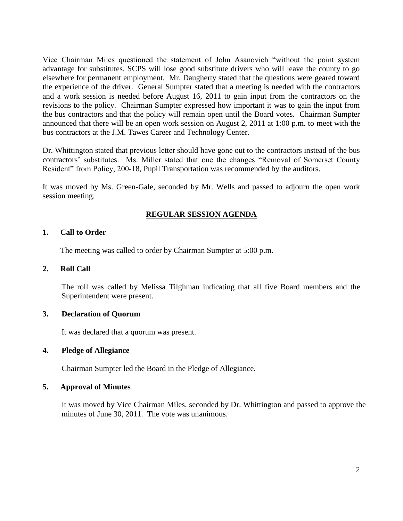Vice Chairman Miles questioned the statement of John Asanovich "without the point system advantage for substitutes, SCPS will lose good substitute drivers who will leave the county to go elsewhere for permanent employment. Mr. Daugherty stated that the questions were geared toward the experience of the driver. General Sumpter stated that a meeting is needed with the contractors and a work session is needed before August 16, 2011 to gain input from the contractors on the revisions to the policy. Chairman Sumpter expressed how important it was to gain the input from the bus contractors and that the policy will remain open until the Board votes. Chairman Sumpter announced that there will be an open work session on August 2, 2011 at 1:00 p.m. to meet with the bus contractors at the J.M. Tawes Career and Technology Center.

Dr. Whittington stated that previous letter should have gone out to the contractors instead of the bus contractors' substitutes. Ms. Miller stated that one the changes "Removal of Somerset County Resident" from Policy, 200-18, Pupil Transportation was recommended by the auditors.

It was moved by Ms. Green-Gale, seconded by Mr. Wells and passed to adjourn the open work session meeting.

# **REGULAR SESSION AGENDA**

## **1. Call to Order**

The meeting was called to order by Chairman Sumpter at 5:00 p.m.

### **2. Roll Call**

The roll was called by Melissa Tilghman indicating that all five Board members and the Superintendent were present.

#### **3. Declaration of Quorum**

It was declared that a quorum was present.

### **4. Pledge of Allegiance**

Chairman Sumpter led the Board in the Pledge of Allegiance.

#### **5. Approval of Minutes**

It was moved by Vice Chairman Miles, seconded by Dr. Whittington and passed to approve the minutes of June 30, 2011. The vote was unanimous.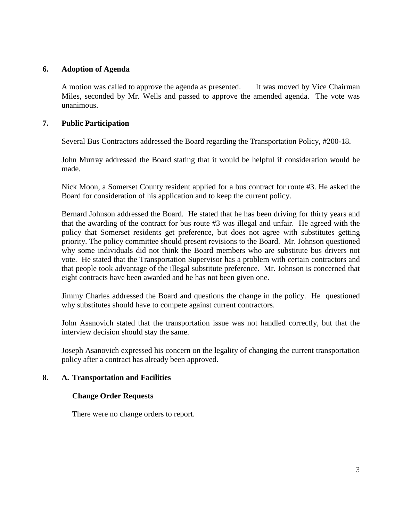## **6. Adoption of Agenda**

A motion was called to approve the agenda as presented. It was moved by Vice Chairman Miles, seconded by Mr. Wells and passed to approve the amended agenda. The vote was unanimous.

## **7. Public Participation**

Several Bus Contractors addressed the Board regarding the Transportation Policy, #200-18.

John Murray addressed the Board stating that it would be helpful if consideration would be made.

Nick Moon, a Somerset County resident applied for a bus contract for route #3. He asked the Board for consideration of his application and to keep the current policy.

Bernard Johnson addressed the Board. He stated that he has been driving for thirty years and that the awarding of the contract for bus route #3 was illegal and unfair. He agreed with the policy that Somerset residents get preference, but does not agree with substitutes getting priority. The policy committee should present revisions to the Board. Mr. Johnson questioned why some individuals did not think the Board members who are substitute bus drivers not vote. He stated that the Transportation Supervisor has a problem with certain contractors and that people took advantage of the illegal substitute preference. Mr. Johnson is concerned that eight contracts have been awarded and he has not been given one.

Jimmy Charles addressed the Board and questions the change in the policy. He questioned why substitutes should have to compete against current contractors.

John Asanovich stated that the transportation issue was not handled correctly, but that the interview decision should stay the same.

Joseph Asanovich expressed his concern on the legality of changing the current transportation policy after a contract has already been approved.

# **8. A. Transportation and Facilities**

## **Change Order Requests**

There were no change orders to report.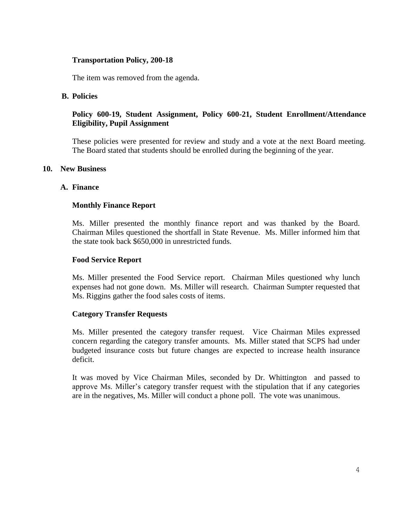## **Transportation Policy, 200-18**

The item was removed from the agenda.

## **B. Policies**

# **Policy 600-19, Student Assignment, Policy 600-21, Student Enrollment/Attendance Eligibility, Pupil Assignment**

These policies were presented for review and study and a vote at the next Board meeting. The Board stated that students should be enrolled during the beginning of the year.

#### **10. New Business**

#### **A. Finance**

## **Monthly Finance Report**

Ms. Miller presented the monthly finance report and was thanked by the Board. Chairman Miles questioned the shortfall in State Revenue. Ms. Miller informed him that the state took back \$650,000 in unrestricted funds.

#### **Food Service Report**

Ms. Miller presented the Food Service report. Chairman Miles questioned why lunch expenses had not gone down. Ms. Miller will research. Chairman Sumpter requested that Ms. Riggins gather the food sales costs of items.

## **Category Transfer Requests**

Ms. Miller presented the category transfer request. Vice Chairman Miles expressed concern regarding the category transfer amounts. Ms. Miller stated that SCPS had under budgeted insurance costs but future changes are expected to increase health insurance deficit.

It was moved by Vice Chairman Miles, seconded by Dr. Whittington and passed to approve Ms. Miller's category transfer request with the stipulation that if any categories are in the negatives, Ms. Miller will conduct a phone poll. The vote was unanimous.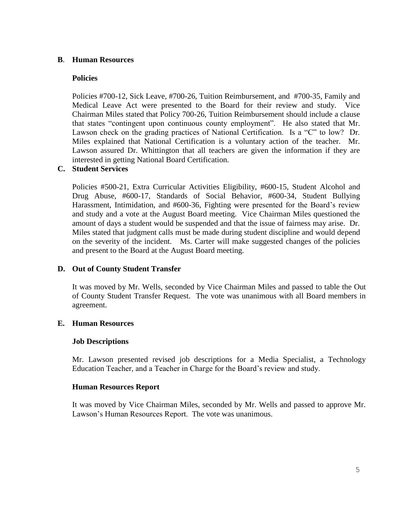## **B**. **Human Resources**

## **Policies**

Policies #700-12, Sick Leave, #700-26, Tuition Reimbursement, and #700-35, Family and Medical Leave Act were presented to the Board for their review and study. Vice Chairman Miles stated that Policy 700-26, Tuition Reimbursement should include a clause that states "contingent upon continuous county employment". He also stated that Mr. Lawson check on the grading practices of National Certification. Is a "C" to low? Dr. Miles explained that National Certification is a voluntary action of the teacher. Mr. Lawson assured Dr. Whittington that all teachers are given the information if they are interested in getting National Board Certification.

## **C. Student Services**

Policies #500-21, Extra Curricular Activities Eligibility, #600-15, Student Alcohol and Drug Abuse, #600-17, Standards of Social Behavior, #600-34, Student Bullying Harassment, Intimidation, and #600-36, Fighting were presented for the Board's review and study and a vote at the August Board meeting. Vice Chairman Miles questioned the amount of days a student would be suspended and that the issue of fairness may arise. Dr. Miles stated that judgment calls must be made during student discipline and would depend on the severity of the incident. Ms. Carter will make suggested changes of the policies and present to the Board at the August Board meeting.

## **D. Out of County Student Transfer**

It was moved by Mr. Wells, seconded by Vice Chairman Miles and passed to table the Out of County Student Transfer Request. The vote was unanimous with all Board members in agreement.

## **E. Human Resources**

## **Job Descriptions**

Mr. Lawson presented revised job descriptions for a Media Specialist, a Technology Education Teacher, and a Teacher in Charge for the Board's review and study.

## **Human Resources Report**

It was moved by Vice Chairman Miles, seconded by Mr. Wells and passed to approve Mr. Lawson's Human Resources Report. The vote was unanimous.